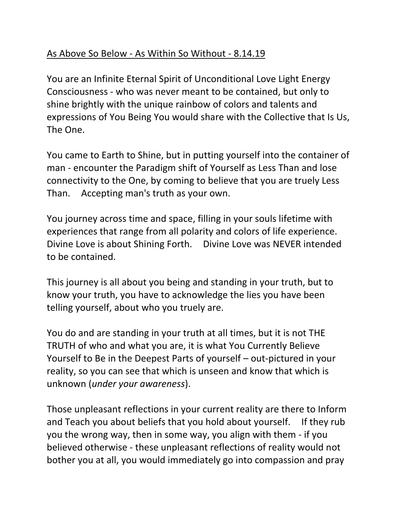## As Above So Below - As Within So Without - 8.14.19

You are an Infinite Eternal Spirit of Unconditional Love Light Energy Consciousness - who was never meant to be contained, but only to shine brightly with the unique rainbow of colors and talents and expressions of You Being You would share with the Collective that Is Us, The One.

You came to Earth to Shine, but in putting yourself into the container of man - encounter the Paradigm shift of Yourself as Less Than and lose connectivity to the One, by coming to believe that you are truely Less Than. Accepting man's truth as your own.

You journey across time and space, filling in your souls lifetime with experiences that range from all polarity and colors of life experience. Divine Love is about Shining Forth. Divine Love was NEVER intended to be contained.

This journey is all about you being and standing in your truth, but to know your truth, you have to acknowledge the lies you have been telling yourself, about who you truely are.

You do and are standing in your truth at all times, but it is not THE TRUTH of who and what you are, it is what You Currently Believe Yourself to Be in the Deepest Parts of yourself – out-pictured in your reality, so you can see that which is unseen and know that which is unknown (*under your awareness*).

Those unpleasant reflections in your current reality are there to Inform and Teach you about beliefs that you hold about yourself. If they rub you the wrong way, then in some way, you align with them - if you believed otherwise - these unpleasant reflections of reality would not bother you at all, you would immediately go into compassion and pray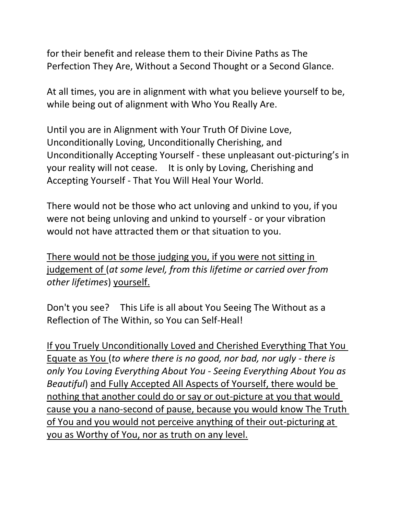for their benefit and release them to their Divine Paths as The Perfection They Are, Without a Second Thought or a Second Glance.

At all times, you are in alignment with what you believe yourself to be, while being out of alignment with Who You Really Are.

Until you are in Alignment with Your Truth Of Divine Love, Unconditionally Loving, Unconditionally Cherishing, and Unconditionally Accepting Yourself - these unpleasant out-picturing's in your reality will not cease. It is only by Loving, Cherishing and Accepting Yourself - That You Will Heal Your World.

There would not be those who act unloving and unkind to you, if you were not being unloving and unkind to yourself - or your vibration would not have attracted them or that situation to you.

There would not be those judging you, if you were not sitting in judgement of (*at some level, from this lifetime or carried over from other lifetimes*) yourself.

Don't you see? This Life is all about You Seeing The Without as a Reflection of The Within, so You can Self-Heal!

If you Truely Unconditionally Loved and Cherished Everything That You Equate as You (*to where there is no good, nor bad, nor ugly - there is only You Loving Everything About You - Seeing Everything About You as Beautiful*) and Fully Accepted All Aspects of Yourself, there would be nothing that another could do or say or out-picture at you that would cause you a nano-second of pause, because you would know The Truth of You and you would not perceive anything of their out-picturing at you as Worthy of You, nor as truth on any level.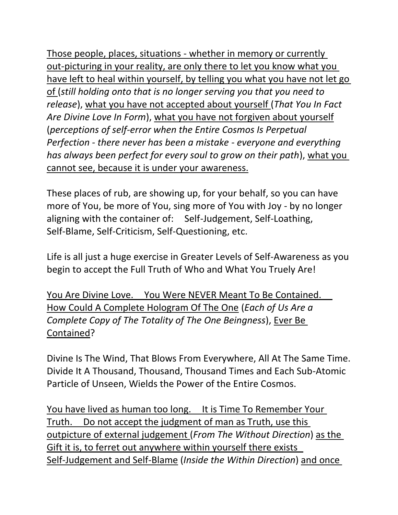Those people, places, situations - whether in memory or currently out-picturing in your reality, are only there to let you know what you have left to heal within yourself, by telling you what you have not let go of (*still holding onto that is no longer serving you that you need to release*), what you have not accepted about yourself (*That You In Fact Are Divine Love In Form*), what you have not forgiven about yourself (*perceptions of self-error when the Entire Cosmos Is Perpetual Perfection - there never has been a mistake - everyone and everything has always been perfect for every soul to grow on their path*), what you cannot see, because it is under your awareness.

These places of rub, are showing up, for your behalf, so you can have more of You, be more of You, sing more of You with Joy - by no longer aligning with the container of: Self-Judgement, Self-Loathing, Self-Blame, Self-Criticism, Self-Questioning, etc.

Life is all just a huge exercise in Greater Levels of Self-Awareness as you begin to accept the Full Truth of Who and What You Truely Are!

You Are Divine Love. You Were NEVER Meant To Be Contained. How Could A Complete Hologram Of The One (*Each of Us Are a Complete Copy of The Totality of The One Beingness*), Ever Be Contained?

Divine Is The Wind, That Blows From Everywhere, All At The Same Time. Divide It A Thousand, Thousand, Thousand Times and Each Sub-Atomic Particle of Unseen, Wields the Power of the Entire Cosmos.

You have lived as human too long. It is Time To Remember Your Truth. Do not accept the judgment of man as Truth, use this outpicture of external judgement (*From The Without Direction*) as the Gift it is, to ferret out anywhere within yourself there exists Self-Judgement and Self-Blame (*Inside the Within Direction*) and once